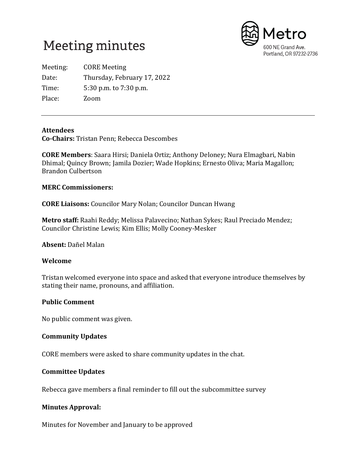



Meeting: CORE Meeting Date: Thursday, February 17, 2022 Time: 5:30 p.m. to 7:30 p.m. Place: Zoom

#### **Attendees**

**Co-Chairs:** Tristan Penn; Rebecca Descombes

**CORE Members**: Saara Hirsi; Daniela Ortiz; Anthony Deloney; Nura Elmagbari, Nabin Dhimal; Quincy Brown; Jamila Dozier; Wade Hopkins; Ernesto Oliva; Maria Magallon; Brandon Culbertson

#### **MERC Commissioners:**

**CORE Liaisons:** Councilor Mary Nolan; Councilor Duncan Hwang

**Metro staff:** Raahi Reddy; Melissa Palavecino; Nathan Sykes; Raul Preciado Mendez; Councilor Christine Lewis; Kim Ellis; Molly Cooney-Mesker

**Absent:** Dañel Malan

#### **Welcome**

Tristan welcomed everyone into space and asked that everyone introduce themselves by stating their name, pronouns, and affiliation.

#### **Public Comment**

No public comment was given.

#### **Community Updates**

CORE members were asked to share community updates in the chat.

## **Committee Updates**

Rebecca gave members a final reminder to fill out the subcommittee survey

## **Minutes Approval:**

Minutes for November and January to be approved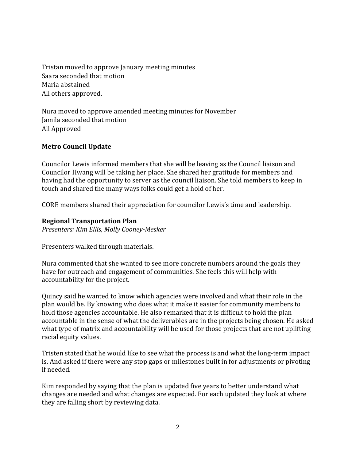Tristan moved to approve January meeting minutes Saara seconded that motion Maria abstained All others approved.

Nura moved to approve amended meeting minutes for November Jamila seconded that motion All Approved

# **Metro Council Update**

Councilor Lewis informed members that she will be leaving as the Council liaison and Councilor Hwang will be taking her place. She shared her gratitude for members and having had the opportunity to server as the council liaison. She told members to keep in touch and shared the many ways folks could get a hold of her.

CORE members shared their appreciation for councilor Lewis's time and leadership.

## **Regional Transportation Plan**

*Presenters: Kim Ellis, Molly Cooney-Mesker* 

Presenters walked through materials.

Nura commented that she wanted to see more concrete numbers around the goals they have for outreach and engagement of communities. She feels this will help with accountability for the project.

Quincy said he wanted to know which agencies were involved and what their role in the plan would be. By knowing who does what it make it easier for community members to hold those agencies accountable. He also remarked that it is difficult to hold the plan accountable in the sense of what the deliverables are in the projects being chosen. He asked what type of matrix and accountability will be used for those projects that are not uplifting racial equity values.

Tristen stated that he would like to see what the process is and what the long-term impact is. And asked if there were any stop gaps or milestones built in for adjustments or pivoting if needed.

Kim responded by saying that the plan is updated five years to better understand what changes are needed and what changes are expected. For each updated they look at where they are falling short by reviewing data.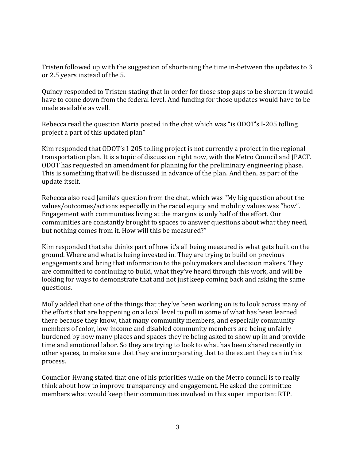Tristen followed up with the suggestion of shortening the time in-between the updates to 3 or 2.5 years instead of the 5.

Quincy responded to Tristen stating that in order for those stop gaps to be shorten it would have to come down from the federal level. And funding for those updates would have to be made available as well.

Rebecca read the question Maria posted in the chat which was "is ODOT's I-205 tolling project a part of this updated plan"

Kim responded that ODOT's I-205 tolling project is not currently a project in the regional transportation plan. It is a topic of discussion right now, with the Metro Council and JPACT. ODOT has requested an amendment for planning for the preliminary engineering phase. This is something that will be discussed in advance of the plan. And then, as part of the update itself.

Rebecca also read Jamila's question from the chat, which was "My big question about the values/outcomes/actions especially in the racial equity and mobility values was "how". Engagement with communities living at the margins is only half of the effort. Our communities are constantly brought to spaces to answer questions about what they need, but nothing comes from it. How will this be measured?"

Kim responded that she thinks part of how it's all being measured is what gets built on the ground. Where and what is being invested in. They are trying to build on previous engagements and bring that information to the policymakers and decision makers. They are committed to continuing to build, what they've heard through this work, and will be looking for ways to demonstrate that and not just keep coming back and asking the same questions.

Molly added that one of the things that they've been working on is to look across many of the efforts that are happening on a local level to pull in some of what has been learned there because they know, that many community members, and especially community members of color, low-income and disabled community members are being unfairly burdened by how many places and spaces they're being asked to show up in and provide time and emotional labor. So they are trying to look to what has been shared recently in other spaces, to make sure that they are incorporating that to the extent they can in this process.

Councilor Hwang stated that one of his priorities while on the Metro council is to really think about how to improve transparency and engagement. He asked the committee members what would keep their communities involved in this super important RTP.